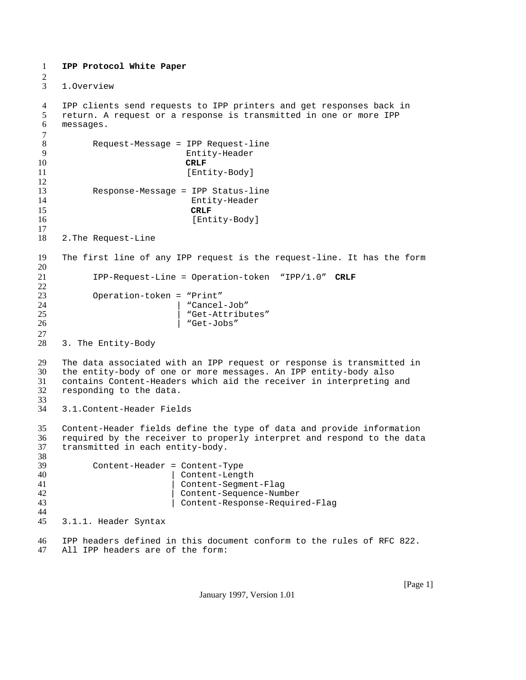```
1 IPP Protocol White Paper
\frac{2}{3}1. Overview
4 IPP clients send requests to IPP printers and get responses back in
5 return. A request or a response is transmitted in one or more IPP
    6 messages.
7 \over 88 Request-Message = IPP Request-line
                         9 Entity-Header
10 CRLF
11 [Entity-Body]
12
13 Response-Message = IPP Status-line
                          Entity-Header
15 CRLF
16 [Entity-Body]
17
18 2. The Request-Line
19 The first line of any IPP request is the request-line. It has the form
20
21 IPP-Request-Line = Operation-token "IPP/1.0" CRLF
\frac{22}{23}23 Operation-token = "Print"
24 | "Cancel-Job"
                         "Get-Attributes"
26 | "Get-Jobs"
\frac{27}{28}3. The Entity-Body
29 The data associated with an IPP request or response is transmitted in
30 the entity-body of one or more messages. An IPP entity-body also
    contains Content-Headers which aid the receiver in interpreting and
32 responding to the data.
33<br>34
    3.1. Content-Header Fields
35 Content-Header fields define the type of data and provide information
    required by the receiver to properly interpret and respond to the data
37 transmitted in each entity-body.
38
39 Content-Header = Content-Type
40 | Content-Length<br>41 | Content-Segmen
                        Content-Segment-Flag
42 | Content-Sequence-Number
43 | Content-Response-Required-Flag
44
45 3.1.1. Header Syntax
46 IPP headers defined in this document conform to the rules of RFC 822.
47 All IPP headers are of the form:
```
January 1997, Version 1.01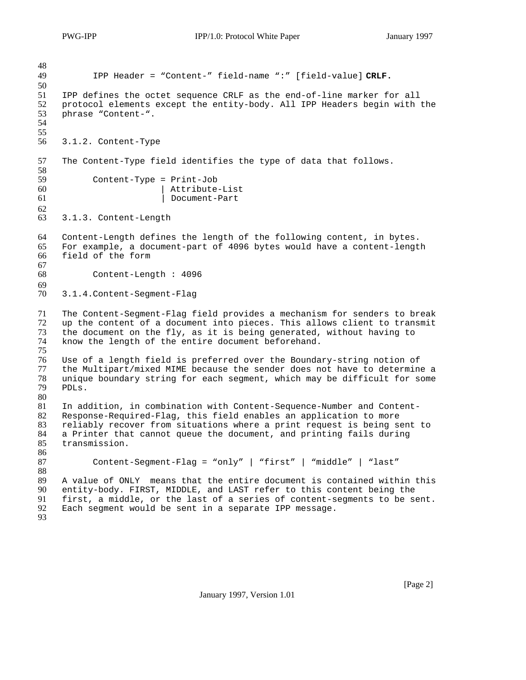IPP Header = "Content-" field-name ":" [field-value] **CRLF.** 51 IPP defines the octet sequence CRLF as the end-of-line marker for all<br>52 protocol elements except the entity-body. All IPP Headers begin with 52 protocol elements except the entity-body. All IPP Headers begin with the phrase "Content-". phrase "Content-". 3.1.2.Content-Type The Content-Type field identifies the type of data that follows.  $Content-Type = Print-Job$ 60 | Attribute-List 61 | Document-Part 3.1.3.Content-Length Content-Length defines the length of the following content, in bytes. For example, a document-part of 4096 bytes would have a content-length field of the form Content-Length : 4096 3.1.4. Content-Segment-Flag The Content-Segment-Flag field provides a mechanism for senders to break 72 up the content of a document into pieces. This allows client to transmit the document on the fly, as it is being generated, without having to the document on the fly, as it is being generated, without having to know the length of the entire document beforehand. 75<br>76 Use of a length field is preferred over the Boundary-string notion of 77 the Multipart/mixed MIME because the sender does not have to determine a<br>78 unique boundary string for each seqment, which may be difficult for some unique boundary string for each segment, which may be difficult for some PDLs.  $\begin{array}{c} 80 \\ 81 \end{array}$ In addition, in combination with Content-Sequence-Number and Content- Response-Required-Flag, this field enables an application to more reliably recover from situations where a print request is being sent to a Printer that cannot queue the document, and printing fails during transmission. Content-Segment-Flag = "only" | "first" | "middle" | "last" A value of ONLY means that the entire document is contained within this entity-body. FIRST, MIDDLE, and LAST refer to this content being the first, a middle, or the last of a series of content-segments to be sent. Each segment would be sent in a separate IPP message.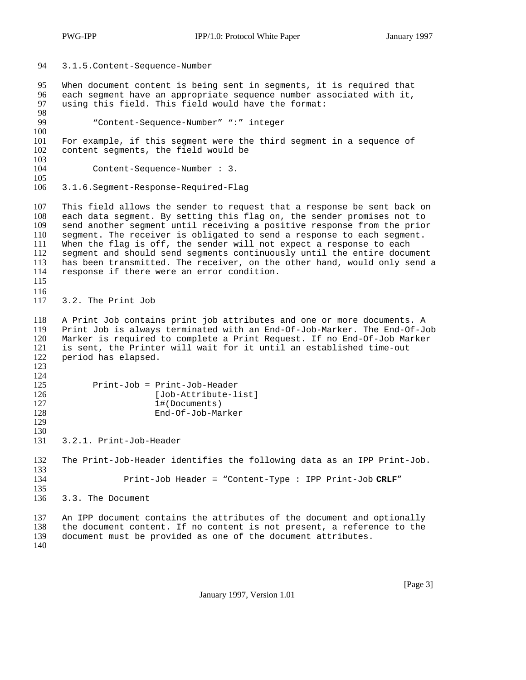94 3.1.5. Content-Sequence-Number 95 When document content is being sent in segments, it is required that<br>96 each segment have an appropriate seguence number associated with it, 96 each segment have an appropriate sequence number associated with it,<br>97 using this field. This field would have the format: using this field. This field would have the format: 98<br>99 99 "Content-Sequence-Number" ":" integer  $\frac{100}{101}$ 101 For example, if this segment were the third segment in a sequence of 102 content segments, the field would be content segments, the field would be 103<br>104 Content-Sequence-Number : 3. 105<br>106 106 3.1.6. Segment-Response-Required-Flag 107 This field allows the sender to request that a response be sent back on 108 each data segment. By setting this flag on, the sender promises not to<br>109 send another segment until receiving a positive response from the prior send another segment until receiving a positive response from the prior 110 segment. The receiver is obligated to send a response to each segment. 111 When the flag is off, the sender will not expect a response to each 112 segment and should send segments continuously until the entire document 113 has been transmitted. The receiver, on the other hand, would only send a 114 response if there were an error condition. response if there were an error condition. 115 116 117 3.2.The Print Job 118 A Print Job contains print job attributes and one or more documents. A 119 Print Job is always terminated with an End-Of-Job-Marker. The End-Of-Job Marker is required to complete a Print Request. If no End-Of-Job Marker 121 is sent, the Printer will wait for it until an established time-out 122 period has elapsed. period has elapsed. 123  $\frac{124}{125}$ 125 Print-Job = Print-Job-Header 126 [Job-Attribute-list]<br>127 1#(Documents) 127 1#(Documents)<br>128 End-Of-Job-Ma 128 End-Of-Job-Marker 129 130<br>131 131 3.2.1.Print-Job-Header 132 The Print-Job-Header identifies the following data as an IPP Print-Job. 133 134 Print-Job Header = "Content-Type : IPP Print-Job **CRLF**" 135 136 3.3.The Document 137 An IPP document contains the attributes of the document and optionally 138 the document content. If no content is not present, a reference to the 139 document must be provided as one of the document attributes. document must be provided as one of the document attributes. 140

January 1997, Version 1.01

[Page 3]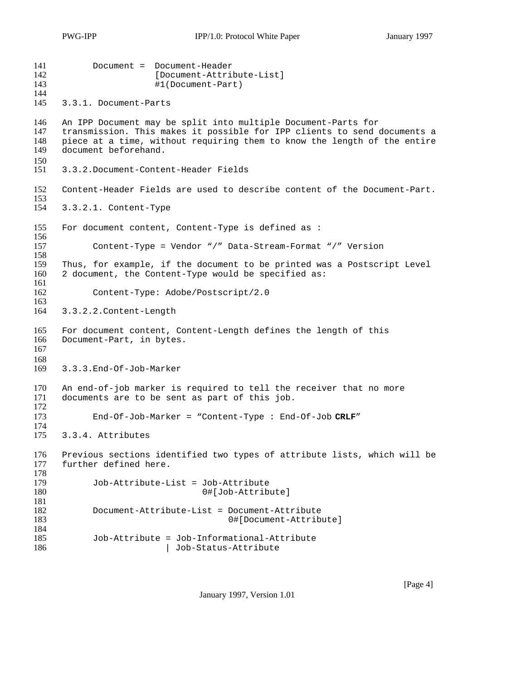```
141 Document = Document-Header 
142 [Document-Attribute-List]<br>143 #1 (Document-Part)
                         #1(Document-Part)
144
145 3.3.1.Document-Parts
146 An IPP Document may be split into multiple Document-Parts for
147 transmission. This makes it possible for IPP clients to send documents a<br>148 piece at a time, without requiring them to know the length of the entire
148 piece at a time, without requiring them to know the length of the entire 149 document beforehand.
     document beforehand.
\frac{150}{151}151 3.3.2. Document-Content-Header Fields
152 Content-Header Fields are used to describe content of the Document-Part.
153<br>154
     154 3.3.2.1.Content-Type
155 For document content, Content-Type is defined as :
156
157 Content-Type = Vendor "/" Data-Stream-Format "/" Version
158
159 Thus, for example, if the document to be printed was a Postscript Level
160 2 document, the Content-Type would be specified as:
161<br>162
            Content-Type: Adobe/Postscript/2.0
163
164 3.3.2.2. Content-Length
165 For document content, Content-Length defines the length of this
166 Document-Part, in bytes.
167
168<br>169
     169 3.3.3. End-Of-Job-Marker
170 An end-of-job marker is required to tell the receiver that no more 171 documents are to be sent as part of this job.
     documents are to be sent as part of this job.
172
173 End-Of-Job-Marker = "Content-Type : End-Of-Job CRLF"
174
175 3.3.4.Attributes
176 Previous sections identified two types of attribute lists, which will be
177 further defined here.
178
179 Job-Attribute-List = Job-Attribute
180 0#[Job-Attribute]
181
182 Document-Attribute-List = Document-Attribute
                                        0#[Document-Attribute]
184<br>185
            Job-Attribute = Job-Informational-Attribute
186 | Job-Status-Attribute
```
January 1997, Version 1.01

[Page 4]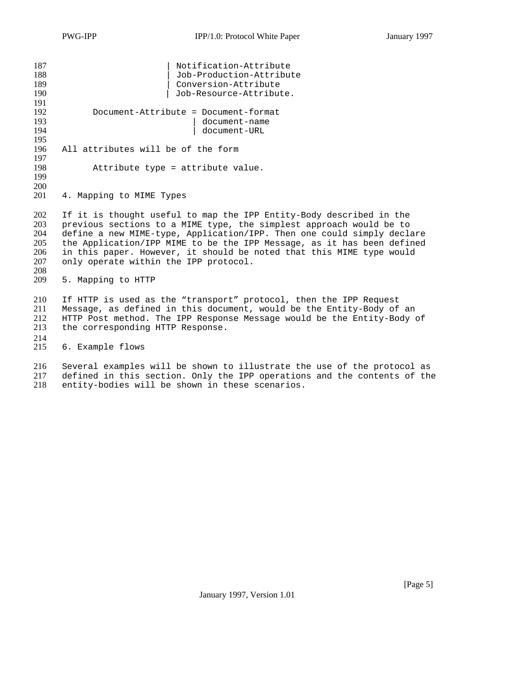| Notification-Attribute               |
|--------------------------------------|
| Job-Production-Attribute             |
| Conversion-Attribute                 |
| Job-Resource-Attribute.              |
|                                      |
| Document-Attribute = Document-format |
|                                      |
| document-name<br>document-URL        |
|                                      |
| All attributes will be of the form   |
|                                      |
| Attribute type = attribute value.    |
|                                      |
|                                      |
| 4. Mapping to MIME Types             |
|                                      |

202 If it is thought useful to map the IPP Entity-Body described in the 203 previous sections to a MIME type, the simplest approach would be to 204 define a new MIME-type. Application/IPP. Then one could simply decla 204 define a new MIME-type, Application/IPP. Then one could simply declare<br>205 the Application/IPP MIME to be the IPP Message, as it has been defined 205 the Application/IPP MIME to be the IPP Message, as it has been defined 206 in this paper. However, it should be noted that this MIME type would 206 in this paper. However, it should be noted that this MIME type would 207 only operate within the IPP protocol. only operate within the IPP protocol.

208 5. Mapping to HTTP

210 If HTTP is used as the "transport" protocol, then the IPP Request 211 Message, as defined in this document, would be the Entity-Body of an<br>212 HTTP Post method. The IPP Response Message would be the Entity-Body of 212 HTTP Post method. The IPP Response Message would be the Entity-Body of 213 the corresponding HTTP Response. the corresponding HTTP Response.

 $\frac{214}{215}$ 6. Example flows

216 Several examples will be shown to illustrate the use of the protocol as 217 defined in this section. Only the IPP operations and the contents of the 218 entity-bodies will be shown in these scenarios. entity-bodies will be shown in these scenarios.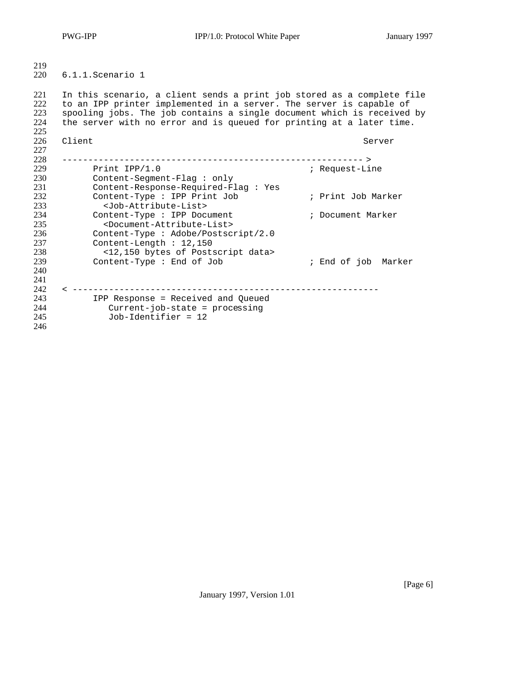PWG-IPP IPP/1.0: Protocol White Paper January 1997

 $\frac{219}{220}$ 6.1.1. Scenario 1

221 In this scenario, a client sends a print job stored as a complete file<br>222 to an IPP printer implemented in a server. The server is capable of 222 to an IPP printer implemented in a server. The server is capable of 223 spooling jobs. The job contains a single document which is received 223 spooling jobs. The job contains a single document which is received by 224 the server with no error and is queued for printing at a later time. the server with no error and is queued for printing at a later time. 225<br>226 226 Client Server Server Server Server Server Server Server Server Server Server Server Server Server Server Server Server Server Server Server Server Server Server Server Server Server Server Server Server Server Server S 227 228 ---------------------------------------------------------- > 229 Print IPP/1.0 **i** Request-Line 230 Content-Segment-Flag : only 231 Content-Response-Required-Flag : Yes<br>232 Content-Type : IPP Print Job Content-Type : IPP Print Job ; Print Job Marker 233 <Job-Attribute-List> 234 Content-Type : IPP Document  $\qquad$  ; Document Marker 235 <Document-Attribute-List> 236 Content-Type : Adobe/Postscript/2.0 237 Content-Length : 12,150 238 <12,150 bytes of Postscript data> 239 Content-Type : End of Job ; End of job Marker 240 241 242 < ----------------------------------------------------------- 243 IPP Response = Received and Queued<br>244 Current-job-state = processing Current-job-state = processing 245 Job-Identifier = 12 246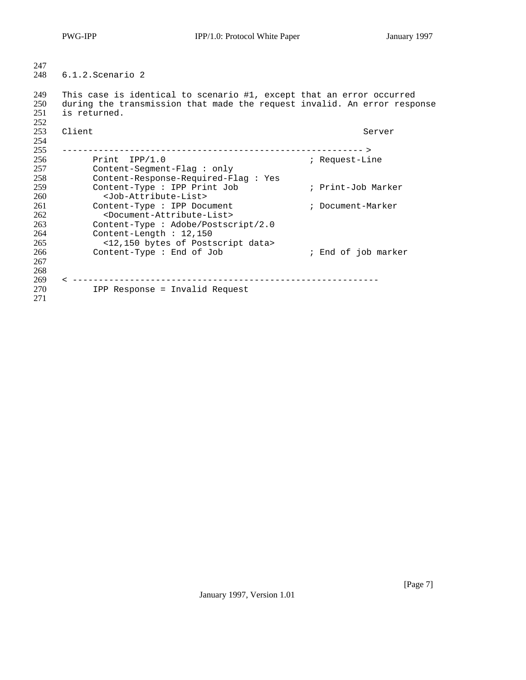| 247                             |                                                                                                                                                                                                                 |                     |
|---------------------------------|-----------------------------------------------------------------------------------------------------------------------------------------------------------------------------------------------------------------|---------------------|
| 248                             | 6.1.2.Scenario 2                                                                                                                                                                                                |                     |
| 249<br>250<br>251<br>252        | This case is identical to scenario #1, except that an error occurred<br>during the transmission that made the request invalid. An error response<br>is returned.                                                |                     |
| 253<br>254<br>255               | Client                                                                                                                                                                                                          | Server              |
| 256<br>257<br>258               | Print IPP/1.0<br>$Content-Segment-Flag: only$<br>Content-Response-Required-Flag: Yes                                                                                                                            | ; Request-Line      |
| 259<br>260                      | Content-Type : IPP Print Job<br><job-attribute-list></job-attribute-list>                                                                                                                                       | ; Print-Job Marker  |
| 261<br>262<br>263<br>264<br>265 | Content-Type : IPP Document<br><document-attribute-list><br/>Content-Type : Adobe/Postscript/2.0<br/>Content-Length : <math>12,150</math><br/>&lt;12,150 bytes of Postscript data&gt;</document-attribute-list> | ; Document-Marker   |
| 266<br>267<br>268<br>269        | Content-Type : End of Job<br>__________________________________                                                                                                                                                 | ; End of job marker |
| 270<br>271                      | IPP Response = Invalid Request                                                                                                                                                                                  |                     |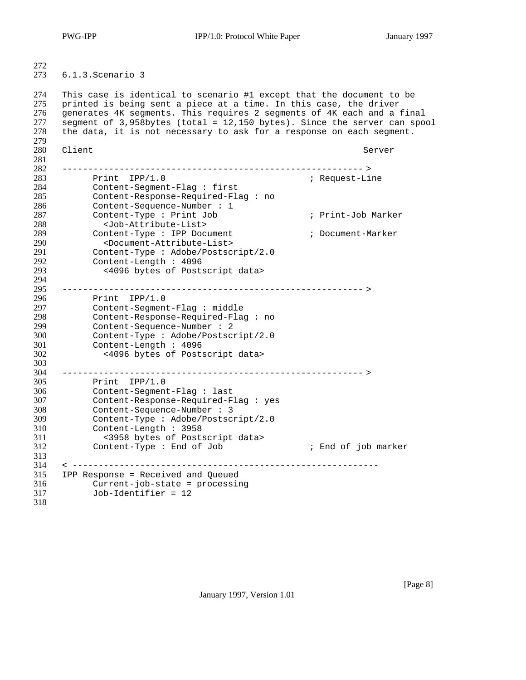PWG-IPP IPP/1.0: Protocol White Paper January 1997

 $\frac{272}{273}$  6.1.3. Scenario 3 This case is identical to scenario #1 except that the document to be printed is being sent a piece at a time. In this case, the driver 276 generates 4K segments. This requires 2 segments of 4K each and a final<br>277 segment of 3,958bytes (total = 12,150 bytes). Since the server can spo 277 segment of 3,958bytes (total = 12,150 bytes). Since the server can spool<br>278 the data, it is not necessary to ask for a response on each segment. the data, it is not necessary to ask for a response on each segment. 279<br>280 280 Client Server Server Server Server Server Server Server Server Server Server Server ---------------------------------------------------------- > 283 Print IPP/1.0 <br>284 Content-Segment-Flag : first *ine* ; Request-Line Content-Segment-Flag : first Content-Response-Required-Flag : no Content-Sequence-Number : 1 Content-Type : Print Job ; Print-Job Marker <Job-Attribute-List> Content-Type : IPP Document ; Document-Marker <Document-Attribute-List> Content-Type : Adobe/Postscript/2.0 Content-Length : 4096 <4096 bytes of Postscript data> 294<br>295 ---------------------------------------------------------- > Print IPP/1.0 Content-Segment-Flag : middle 298 Content-Response-Required-Flag : no<br>299 Content-Sequence-Number : 2 Content-Sequence-Number : 2 Content-Type : Adobe/Postscript/2.0 Content-Length : 4096 <4096 bytes of Postscript data> 303<br>304 ---------------------------------------------------------- > Print IPP/1.0 Content-Segment-Flag : last Content-Response-Required-Flag : yes Content-Sequence-Number : 3 Content-Type : Adobe/Postscript/2.0 Content-Length : 3958 <3958 bytes of Postscript data> Content-Type : End of Job ; End of job marker < ----------------------------------------------------------- IPP Response = Received and Queued Current-job-state = processing Job-Identifier = 12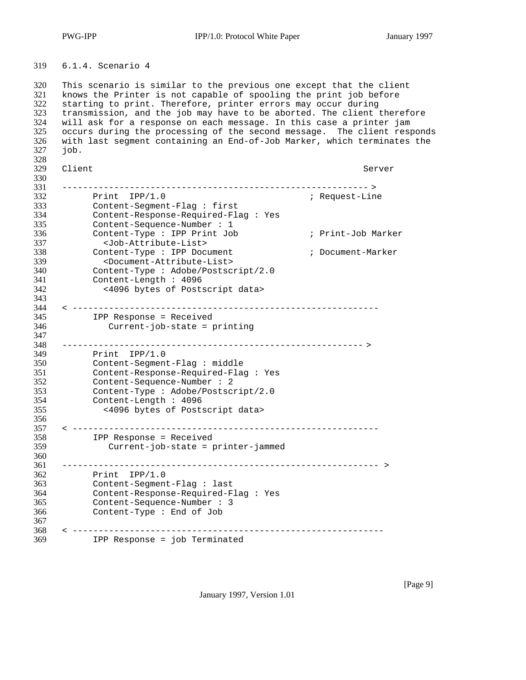6.1.4.Scenario 4

320 This scenario is similar to the previous one except that the client<br>321 knows the Printer is not capable of spooling the print job before 321 knows the Printer is not capable of spooling the print job before<br>322 starting to print. Therefore, printer errors may occur during starting to print. Therefore, printer errors may occur during 323 transmission, and the job may have to be aborted. The client therefore<br>324 vill ask for a response on each message. In this case a printer jam will ask for a response on each message. In this case a printer jam 325 occurs during the processing of the second message. The client responds<br>326 with last segment containing an End-of-Job Marker, which terminates the with last segment containing an End-of-Job Marker, which terminates the job. 328<br>329 329 Client Server Server Server Server Server Server Server Server Server Server Server Server Server Server Server Server Server Server Server Server Server Server Server Server Server Server Server Server Server Server S ----------------------------------------------------------- > 332 Print IPP/1.0 ; Request-Line Content-Segment-Flag : first Content-Response-Required-Flag : Yes Content-Sequence-Number : 1 Content-Type : IPP Print Job ; Print-Job Marker <Job-Attribute-List> Content-Type : IPP Document ; Document-Marker 339 <Document-Attribute-List><br>340 <content-Type: Adobe/Postscr 340 Content-Type : Adobe/Postscript/2.0<br>341 Content-Length : 4096 Content-Length : 4096 <4096 bytes of Postscript data> 343<br>344 < ----------------------------------------------------------- IPP Response = Received Current-job-state = printing ---------------------------------------------------------- > 349 Print IPP/1.0<br>350 Content-Segment Content-Segment-Flag : middle Content-Response-Required-Flag : Yes Content-Sequence-Number : 2 Content-Type : Adobe/Postscript/2.0 Content-Length : 4096 <4096 bytes of Postscript data> < ----------------------------------------------------------- IPP Response = Received Current-job-state = printer-jammed ------------------------------------------------------------- > Print IPP/1.0 Content-Segment-Flag : last Content-Response-Required-Flag : Yes Content-Sequence-Number : 3 Content-Type : End of Job < ------------------------------------------------------------ IPP Response = job Terminated

January 1997, Version 1.01

[Page 9]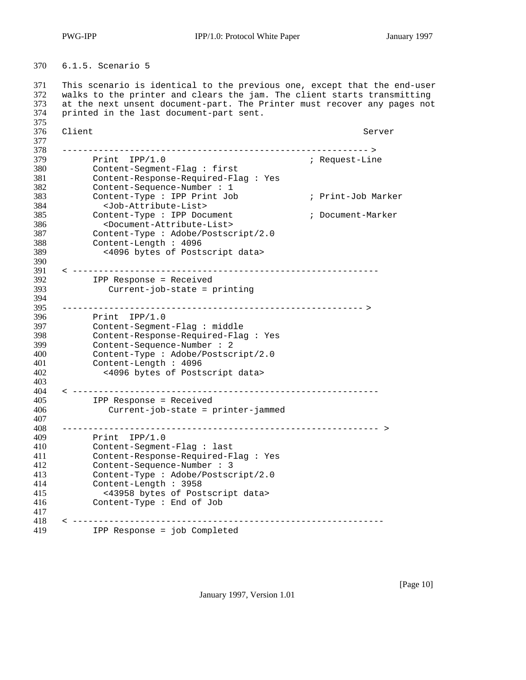PWG-IPP IPP/1.0: Protocol White Paper January 1997

6.1.5.Scenario 5

371 This scenario is identical to the previous one, except that the end-user<br>372 walks to the printer and clears the jam. The client starts transmitting walks to the printer and clears the jam. The client starts transmitting at the next unsent document-part. The Printer must recover any pages not printed in the last document-part sent.

375<br>376 376 Client Server Server Server Server Server Server Server Server Server Server Server Server Server Server Server Server Server Server Server Server Server Server Server Server Server Server Server Server Server Server S 377<br>378 ----------------------------------------------------------- > 379 Print IPP/1.0 <br>380 Content-Segment-Flag : first *ine* Request-Line Content-Segment-Flag : first Content-Response-Required-Flag : Yes Content-Sequence-Number : 1 Content-Type : IPP Print Job ; Print-Job Marker <Job-Attribute-List> 385 Content-Type : IPP Document ; Document-Marker 386 <Document-Attribute-List><br>387 Content-Type : Adobe/Postscr Content-Type : Adobe/Postscript/2.0 Content-Length : 4096 <4096 bytes of Postscript data> 390<br>391 < ----------------------------------------------------------- IPP Response = Received Current-job-state = printing 394<br>395 ---------------------------------------------------------- > 396 Print IPP/1.0<br>397 Content-Segment Content-Segment-Flag : middle Content-Response-Required-Flag : Yes 399 Content-Sequence-Number : 2<br>400 Content-Type : Adobe/Postscr 400 Content-Type : Adobe/Postscript/2.0<br>401 Content-Length : 4096 Content-Length : 4096 <4096 bytes of Postscript data> < ----------------------------------------------------------- IPP Response = Received Current-job-state = printer-jammed ------------------------------------------------------------- > Print IPP/1.0 Content-Segment-Flag : last Content-Response-Required-Flag : Yes Content-Sequence-Number : 3 Content-Type : Adobe/Postscript/2.0 Content-Length : 3958 <43958 bytes of Postscript data> Content-Type : End of Job < ------------------------------------------------------------ IPP Response = job Completed

January 1997, Version 1.01

[Page 10]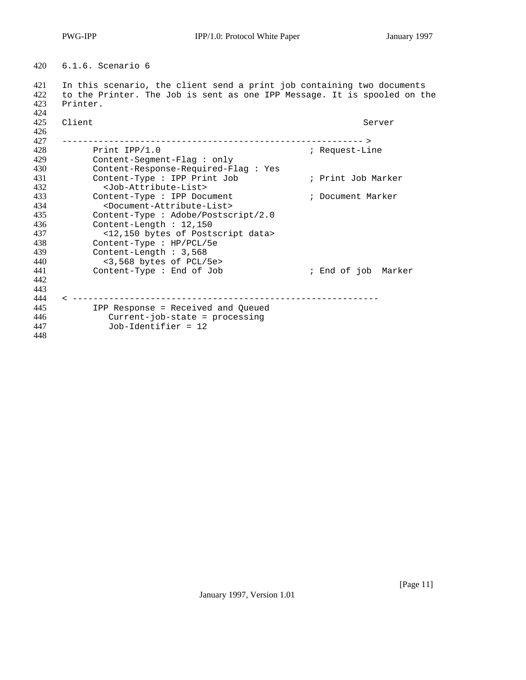6.1.6.Scenario 6

 In this scenario, the client send a print job containing two documents to the Printer. The Job is sent as one IPP Message. It is spooled on the Printer.

| 424<br>425<br>426 | Client                                                                 | Server              |
|-------------------|------------------------------------------------------------------------|---------------------|
| 427               |                                                                        |                     |
| 428               | Print $IPP/1.0$                                                        | ; Request-Line      |
| 429               | $Content-Segment-Flag : only$                                          |                     |
| 430<br>431        | Content-Response-Required-Flag : Yes<br>Content-Type : IPP Print Job   | ; Print Job Marker  |
| 432               | <job-attribute-list></job-attribute-list>                              |                     |
| 433               | Content-Type : IPP Document                                            | ; Document Marker   |
| 434               | <document-attribute-list></document-attribute-list>                    |                     |
| 435               | Content-Type : Adobe/Postscript/2.0                                    |                     |
| 436               | Content-Length $: 12,150$                                              |                     |
| 437               | <12,150 bytes of Postscript data>                                      |                     |
| 438               | Content-Type : HP/PCL/5e                                               |                     |
| 439               | Content-Length: 3,568                                                  |                     |
| 440               | <3,568 bytes of PCL/5e>                                                |                     |
| 441               | Content-Type : End of Job                                              | ; End of job Marker |
| 442               |                                                                        |                     |
| 443               |                                                                        |                     |
| 444<br>445        |                                                                        |                     |
| 446               | IPP Response = Received and Queued<br>$Current-job-state = processing$ |                     |
| 447               | $Job-Identifier = 12$                                                  |                     |
| 448               |                                                                        |                     |
|                   |                                                                        |                     |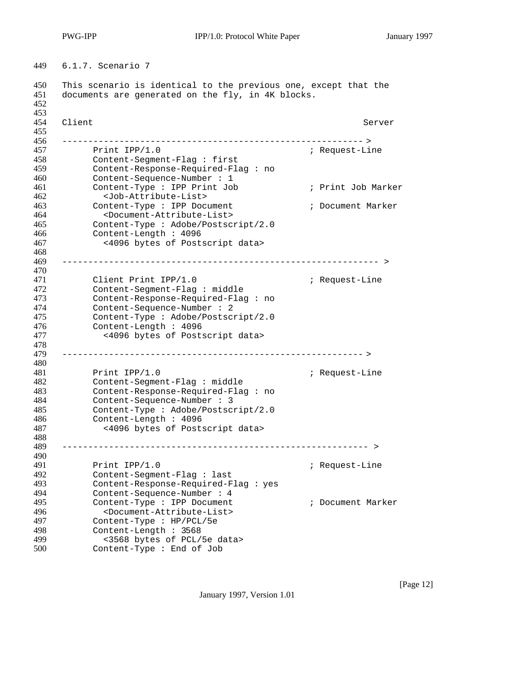6.1.7.Scenario 7

450 This scenario is identical to the previous one, except that the 451 documents are generated on the fly, in 4K blocks. documents are generated on the fly, in 4K blocks. 453<br>454 454 Client Server Server Server Server Server Server Server Server Server Server Server 455<br>456 ---------------------------------------------------------- > 457 Print IPP/1.0 **intervalse in the Second Automobile Second Automobile Second Automobile Second Automobile Second Automobile Second Automobile Second Automobile Second Automobile Second Automobile Second Automobile Secon**  Content-Segment-Flag : first Content-Response-Required-Flag : no Content-Sequence-Number : 1 461 Content-Type : IPP Print Job ; Print Job Marker <Job-Attribute-List> 462<br>463 Content-Type : IPP Document<br>464 <Document-Attribute-List> ; Document Marker <Document-Attribute-List> Content-Type : Adobe/Postscript/2.0 Content-Length : 4096 <4096 bytes of Postscript data> 468<br>469 ------------------------------------------------------------- > Client Print IPP/1.0 ; Request-Line Content-Segment-Flag : middle Content-Response-Required-Flag : no Content-Sequence-Number : 2 Content-Type : Adobe/Postscript/2.0 Content-Length : 4096 <4096 bytes of Postscript data> ---------------------------------------------------------- > 481 Print IPP/1.0 **interval in the UP** and the Print IPP/1.0 **interval interval in the UP** and the Prince of the Prince of the Prince of the Prince of the Prince of the Prince of the Prince of the Prince of the Prince of t Content-Segment-Flag : middle Content-Response-Required-Flag : no Content-Sequence-Number : 3 Content-Type : Adobe/Postscript/2.0 Content-Length : 4096 <4096 bytes of Postscript data> ----------------------------------------------------------- > Print IPP/1.0 ; Request-Line Content-Segment-Flag : last Content-Response-Required-Flag : yes Content-Sequence-Number : 4 495 Content-Type : IPP Document  $\qquad$  ; Document Marker <Document-Attribute-List> Content-Type : HP/PCL/5e Content-Length : 3568 499 <3568 bytes of PCL/5e data><br>500 Content-Type : End of Job Sold Lytes of following

January 1997, Version 1.01

[Page 12]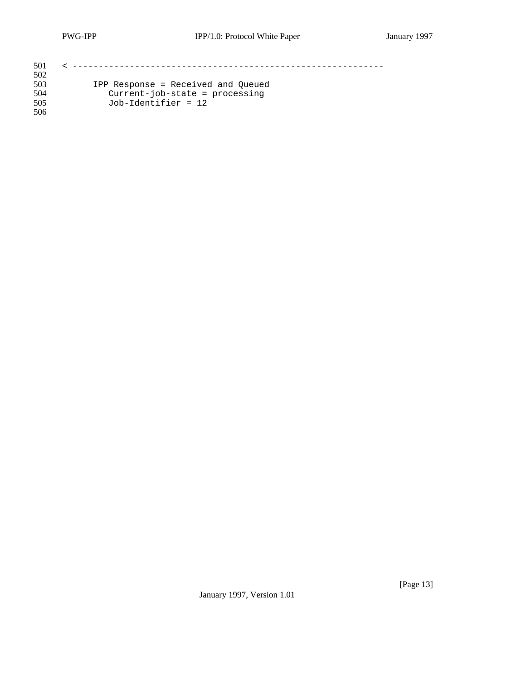| 501 |                                    |
|-----|------------------------------------|
| 502 |                                    |
| 503 | IPP Response = Received and Oueued |
| 504 | $Current-job-state = processing$   |
| 505 | $Job-Identity = 12$                |
| 506 |                                    |